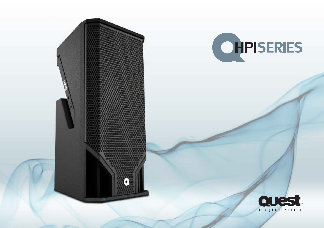



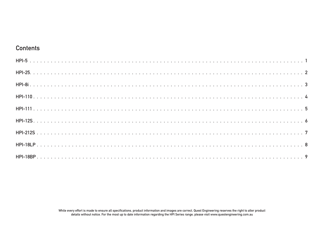#### **Contents**

While every effort is made to ensure all specifications, product information and images are correct, Quest Engineering reserves the right to alter product details without notice. For the most up to date information regarding the HPI Series range, please visit www.questengineering.com.au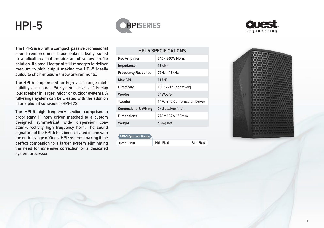



<span id="page-2-0"></span>The HPI-5 is a 5" ultra compact, passive professional sound reinforcement loudspeaker ideally suited to applications that require an ultra low profile solution. Its small footprint still manages to deliver medium to high output making the HPI-5 ideally suited to short\medium throw environments.

The HPI-5 is optimised for high vocal range intelligibility as a small PA system, or as a fill\delay loudspeaker in larger indoor or outdoor systems. A full-range system can be created with the addition of an optional subwoofer (HPI-12S).

The HPI-5 high frequency section comprises a proprietary 1" horn driver matched to a custom designed symmetrical wide dispersion constant-directivity high frequency horn. The sound signature of the HPI-5 has been created in line with the entire range of Quest HPI systems making it the perfect companion to a larger system eliminating the need for extensive correction or a dedicated system processor.

| <b>HPI-5 SPECIFICATIONS</b>     |                                       |  |
|---------------------------------|---------------------------------------|--|
| Rec Amplifier                   | 240 - 360W Nom.                       |  |
| Impedance                       | $16$ ohm                              |  |
| <b>Frequency Response</b>       | 75Hz - 19kHz                          |  |
| Max SPL                         | 117dB                                 |  |
| Directivity                     | $100^\circ$ x 60 $^\circ$ [hor x ver] |  |
| Woofer                          | 5" Woofer                             |  |
| Tweeter                         | 1" Ferrite Compression Driver         |  |
| <b>Connections &amp; Wiring</b> | 2x Speakon 1+/-                       |  |
| Dimensions                      | 248 x 182 x 150mm                     |  |
| Weight                          | 6.2kg net                             |  |

| HPI-5 Optimum Range |             |             |
|---------------------|-------------|-------------|
| Near - Field        | Mid - Field | Far - Field |

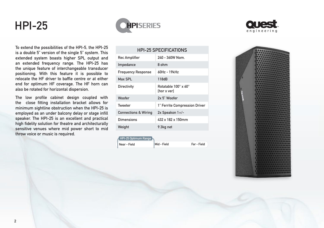



<span id="page-3-0"></span>To extend the possibilities of the HPI-5, the HPI-25 is a double 5" version of the single 5" system. This extended system boasts higher SPL output and an extended frequency range. The HPI-25 has the unique feature of interchangeable transducer positioning. With this feature it is possible to relocate the HF driver to baffle centre or at either end for optimum HF coverage. The HF horn can also be rotated for horizontal dispersion.

The low profile cabinet design coupled with the close fitting installation bracket allows for minimum sightline obstruction when the HPI-25 is employed as an under balcony delay or stage infill speaker. The HPI-25 is an excellent and practical high fidelity solution for theatre and architecturally sensitive venues where mid power short to mid throw voice or music is required.

| <b>HPI-25 SPECIFICATIONS</b>    |                                                         |  |
|---------------------------------|---------------------------------------------------------|--|
| Rec Amplifier                   | $240 - 360W$ Nom                                        |  |
| Impedance                       | 8 ohm                                                   |  |
| <b>Frequency Response</b>       | $60Hz - 19kHz$                                          |  |
| Max SPL                         | 118dB                                                   |  |
| Directivity                     | Rotatable 100 $^{\circ}$ x 60 $^{\circ}$<br>[hor x ver] |  |
| Woofer                          | 2x 5" Woofer                                            |  |
| Tweeter                         | 1" Ferrite Compression Driver                           |  |
| <b>Connections &amp; Wiring</b> | 2x Speakon 1+/-                                         |  |
| Dimensions                      | 432 x 182 x 150mm                                       |  |
| Weight                          | 9.3kg net                                               |  |

Far - Field

| HPI-25 Optimum Range |             |
|----------------------|-------------|
| Near - Field         | Mid - Field |

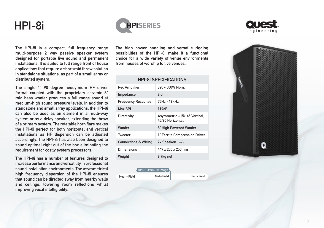### <span id="page-4-0"></span>HPI-8i



The HPI-8i is a compact, full frequency range multi-purpose 2 way passive speaker system designed for portable live sound and permanent installations. It is suited to full range front of house applications that require a short\mid throw solution in standalone situations, as part of a small array or distributed system.

The single 1" 90 degree neodymium HF driver format coupled with the proprietary ceramic 8" mid bass woofer produces a full range sound at medium\high sound pressure levels. In addition to standalone and small array applications, the HPI-8i can also be used as an element in a multi-way system or as a delay speaker; extending the throw of a primary system. The rotatable horn flare makes the HPI-8i perfect for both horizontal and vertical installations as HF dispersion can be adjusted accordingly. The HPI-8i has also been designed to sound optimal right out of the box eliminating the requirement for costly system processors.

The HPI-8i has a number of features designed to increase performance and versatility in professional sound installation environments. The asymmetrical high frequency dispersion of the HPI-8i ensures that sound can be directed away from nearby walls and ceilings, lowering room reflections whilst improving vocal intelligibility.

The high power handling and versatile rigging possibilities of the HPI-8i make it a functional choice for a wide variety of venue environments from houses of worship to live venues.

#### HPI-8I SPECIFICATIONS

| Rec Amplifier                   | $320 - 500W$ Nom                                 |
|---------------------------------|--------------------------------------------------|
| Impedance                       | 8 ohm                                            |
| <b>Frequency Response</b>       | 75Hz - 19kHz                                     |
| Max SPL                         | 119dB                                            |
| Directivity                     | Asymmetric +15/-45 Vertical,<br>45/90 Horizontal |
| Woofer                          | 8" High Powered Woofer                           |
| Tweeter                         | 1" Ferrite Compression Driver                    |
| <b>Connections &amp; Wiring</b> | 2x Speakon 1+/-                                  |
| Dimensions                      | $449 \times 250 \times 250$ mm                   |
| Weight                          | 8.9kg net                                        |





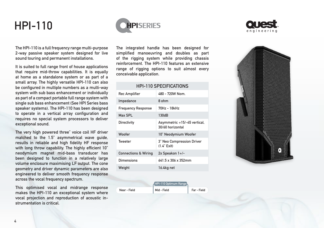

<span id="page-5-0"></span>The HPI-110 is a full frequency range multi-purpose 2-way passive speaker system designed for live sound touring and permanent installations.

It is suited to full range front of house applications that require mid-throw capabilities. It is equally at home as a standalone system or as part of a small array. The highly versatile HPI-110 can also be configured in multiple numbers as a multi-way system with sub bass enhancement or individually as part of a compact portable full range system with single sub bass enhancement (See HPI Series bass speaker systems). The HPI-110 has been designed to operate in a vertical array configuration and requires no special system processors to deliver exceptional sound.

The very high powered three" voice coil HF driver matched to the 1.5" asymmetrical wave guide, results in reliable and high fidelity HF response with long throw capability. The highly efficient 10" neodymium magnet mid-bass transducer has been designed to function in a relatively large volume enclosure maximising LF output. The cone geometry and driver dynamic parameters are also engineered to deliver smooth frequency response across the vocal frequency spectrum.

This optimised vocal and midrange response makes the HPI-110 an exceptional system where vocal projection and reproduction of acoustic instrumentation is critical.

The integrated handle has been designed for simplified manoeuvring and doubles as part of the rigging system while providing chassis reinforcement. The HPI-110 features an extensive range of rigging options to suit almost every conceivable application.

#### HPI-110 SPECIFICATIONS

| <b>Rec Amplifier</b>            | 480 - 720W Nom                                   |
|---------------------------------|--------------------------------------------------|
| Impedance                       | 8 ohm                                            |
| <b>Frequency Response</b>       | 70Hz - 18kHz                                     |
| Max SPL                         | 130dB                                            |
| Directivity                     | Asymmetric +15/-45 vertical,<br>30/60 horizontal |
| Woofer                          | 10" Neodymium Woofer                             |
| Tweeter                         | 3" Neo Compression Driver<br>$(1.4"$ Exit)       |
| <b>Connections &amp; Wiring</b> | 2x Speakon 1+/-                                  |
| Dimensions                      | 641.5 x 306 x 352mm                              |
| Weight                          | 16.4kg net                                       |

|              | HPI-110 Optimum Range |             |
|--------------|-----------------------|-------------|
| Near - Field | Mid - Field           | Far - Field |



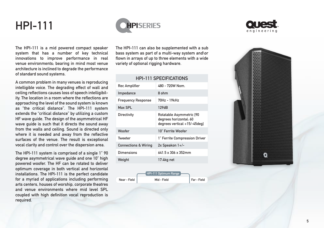



<span id="page-6-0"></span>The HPI-111 is a mid powered compact speaker system that has a number of key technical innovations to improve performance in real venue environments; bearing in mind most venue architecture is inclined to degrade the performance of standard sound systems .

A common problem in many venues is reproducing intelligible voice . The degrading effect of wall and ceiling reflections causes loss of speech intelligibil ity. The location in a room where the reflections are approaching the level of the sound system is known as "the critical distance" . The HPI-111 system extends the "critical distance" by utilizing a custom HF wave guide . The design of the asymmetrical HF wave quide is such that it directs the sound away from the walls and ceiling . Sound is directed only where it is needed and away from the reflective surfaces of the venue . The result is exceptional vocal clarity and control over the dispersion area .

The HPI-111 system is comprised of a single 1" 90 degree asymmetrical wave guide and one 10" high powered woofer. The HF can be rotated to deliver optimum coverage in both vertical and horizontal installations . The HPI-111 is the perfect candidate for a myriad of applications including performing arts centers, houses of worship, corporate theatres and venue environments where mid level SPL coupled with high definition vocal reproduction is required .

The HPI-111 can also be supplemented with a sub bass system as part of a multi-way system and\or flown in arrays of up to three elements with a wide variety of optional rigging hardware .

#### HPI-111 SPECIFICATIONS

| Rec Amplifier                   | 480 - 720W Nom                                                                     |
|---------------------------------|------------------------------------------------------------------------------------|
| Impedance                       | 8 ohm                                                                              |
| <b>Frequency Response</b>       | 70Hz - 19kHz                                                                       |
| Max SPL                         | 129dB                                                                              |
| Directivity                     | Rotatable Asymmetric [90<br>degrees horizontal, 60<br>degrees vertical +15/-45deg] |
| Woofer                          | 10" Ferrite Woofer                                                                 |
| Tweeter                         | 1" Ferrite Compression Driver                                                      |
| <b>Connections &amp; Wiring</b> | $2x$ Speakon $1+/-$                                                                |
| Dimensions                      | 641 5 x 306 x 352mm                                                                |
| Weight                          | 17.4kg net                                                                         |



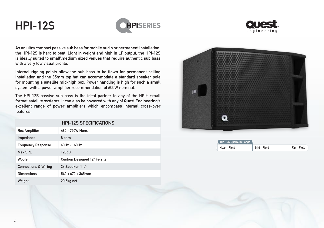## <span id="page-7-0"></span>HPI-12S





As an ultra compact passive sub bass for mobile audio or permanent installation, the HPI-12S is hard to beat. Light in weight and high in LF output, the HPI-12S is ideally suited to small\medium sized venues that require authentic sub bass with a very low visual profile.

Internal rigging points allow the sub bass to be flown for permanent ceiling installation and the 35mm top hat can accommodate a standard speaker pole for mounting a satellite mid-high box. Power handling is high for such a small system with a power amplifier recommendation of 600W nominal.

The HPI-12S passive sub bass is the ideal partner to any of the HPI's small format satellite systems. It can also be powered with any of Quest Engineering's excellent range of power amplifiers which encompass internal cross-over features.

|                                 | <b>HPI-12S SPECIFICATIONS</b>      |
|---------------------------------|------------------------------------|
| <b>Rec Amplifier</b>            | 480 - 720W Nom.                    |
| Impedance                       | 8 ohm                              |
| <b>Frequency Response</b>       | $40Hz - 160Hz$                     |
| Max SPL                         | 128dB                              |
| Woofer                          | <b>Custom Designed 12" Ferrite</b> |
| <b>Connections &amp; Wiring</b> | $2x$ Speakon $1+/-$                |
| <b>Dimensions</b>               | 540 x 470 x 365mm                  |
| Weight                          | 20.5kg net                         |



| HPI-12S Optimum Range |             |             |
|-----------------------|-------------|-------------|
| Near - Field          | Mid - Field | Far - Field |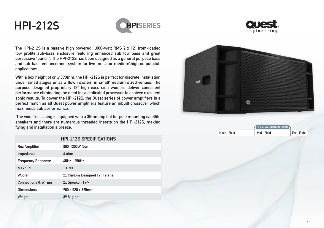# <span id="page-8-0"></span>HPI-212S





The HPI-212S is a passive high powered 1,000-watt RMS 2 x 12" front-loaded low profile sub-bass enclosure featuring enhanced sub low bass and great percussive "punch". The HPI-212S has been designed as a general purpose bass and sub-bass enhancement system for live music or medium\high output club applications.

With a box height of only 390mm, the HPI-212S is perfect for discrete installation under small stages or as a flown system in small\medium sized venues. The purpose designed proprietary 12" high excursion woofers deliver consistent performance eliminating the need for a dedicated processor to achieve excellent sonic results. To power the HPI-212S, the Quest series of power amplifiers is a perfect match as all Quest power amplifiers feature an inbuilt crossover which maximises sub performance.

 The void free casing is equipped with a 35mm top hat for pole mounting satellite speakers and there are numerous threaded inserts on the HPI-212S, making flying and installation a breeze.

|                                 | <b>HPI-212S SPECIFICATIONS</b> |
|---------------------------------|--------------------------------|
| <b>Rec Amplifier</b>            | 800-1200W Nom.                 |
| Impedance                       | 4 ohm                          |
| <b>Frequency Response</b>       | 45Hz - 250Hz                   |
| Max SPL                         | 131dB                          |
| Woofer                          | 2x Custom Designed 12" Ferrite |
| <b>Connections &amp; Wiring</b> | $2x$ Speakon $1+/-$            |
| <b>Dimensions</b>               | 900 x 520 x 395mm              |
| Weight                          | 39.8kg net                     |



| HPI-212S Optimum Range |             |             |
|------------------------|-------------|-------------|
| Near - Field           | Mid - Field | Far - Field |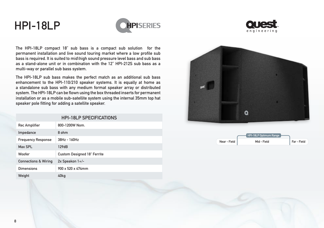### <span id="page-9-0"></span>HPI-18LP





The HPI-18LP compact 18" sub bass is a compact sub solution for the permanent installation and live sound touring market where a low profile sub bass is required. It is suited to mid\high sound pressure level bass and sub bass as a stand-alone unit or in combination with the 12" HPI-212S sub bass as a multi-way or parallel sub bass system.

The HPI-18LP sub bass makes the perfect match as an additional sub bass enhancement to the HPI-110/210 speaker systems. It is equally at home as a standalone sub bass with any medium format speaker array or distributed system. The HPI-18LP can be flown using the box threaded inserts for permanent installation or as a mobile sub-satellite system using the internal 35mm top hat speaker pole fitting for adding a satellite speaker.

| <b>HPI-18LP SPECIFICATIONS</b>  |                                    |  |  |  |
|---------------------------------|------------------------------------|--|--|--|
| Rec Amplifier                   | 800-1200W Nom.                     |  |  |  |
| Impedance                       | 8 ohm                              |  |  |  |
| <b>Frequency Response</b>       | $38H7 - 160H7$                     |  |  |  |
| Max SPI                         | 129dB                              |  |  |  |
| Woofer                          | <b>Custom Designed 18" Ferrite</b> |  |  |  |
| <b>Connections &amp; Wiring</b> | $2x$ Speakon $1+/-$                |  |  |  |
| Dimensions                      | $900 \times 520 \times 474$ mm     |  |  |  |
| Weight                          | 40ka                               |  |  |  |



|              | <b>THPI-18LP Optimum</b> |             |
|--------------|--------------------------|-------------|
| Near - Field | Mid - Field              | Far - Field |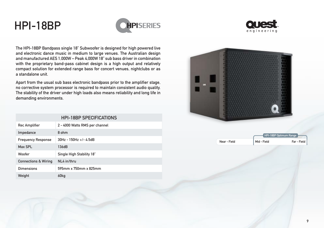### <span id="page-10-0"></span>HPI-18BP





The HPI-18BP Bandpass single 18" Subwoofer is designed for high powered live and electronic dance music in medium to large venues. The Australian design and manufactured AES 1,000W – Peak 4,000W 18" sub bass driver in combination with the proprietary band-pass cabinet design is a high output and relatively compact solution for extended range bass for concert venues, nightclubs or as a standalone unit.

Apart from the usual sub bass electronic bandpass prior to the amplifier stage, no corrective system processor is required to maintain consistent audio quality. The stability of the driver under high loads also means reliability and long life in demanding environments.

| <b>HPI-18BP SPECIFICATIONS</b>  |                                |  |  |  |
|---------------------------------|--------------------------------|--|--|--|
| <b>Rec Amplifier</b>            | 2 - 4000 Watts RMS per channel |  |  |  |
| Impedance                       | 8 ohm                          |  |  |  |
| <b>Frequency Response</b>       | $30Hz - 150Hz +/- 45dB$        |  |  |  |
| Max SPI                         | 136dB                          |  |  |  |
| Woofer                          |                                |  |  |  |
|                                 | Single High Stability 18"      |  |  |  |
| <b>Connections &amp; Wiring</b> | NI 4 in/thru                   |  |  |  |
| Dimensions                      | 595mm x 750mm x 825mm          |  |  |  |
| Weight                          | 60kg                           |  |  |  |



|              | <b>HPI-18BP Ontimum Range</b> |             |
|--------------|-------------------------------|-------------|
| Near - Field | Mid - Field                   | Far - Field |